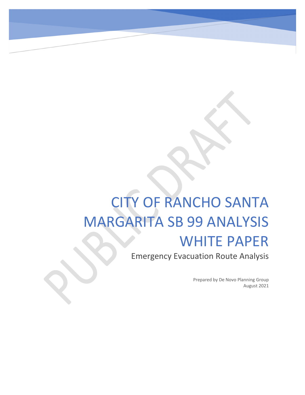# CITY OF RANCHO SANTA MARGARITA SB 99 ANALYSIS

# WHITE PAPER

Emergency Evacuation Route Analysis

Prepared by De Novo Planning Group August 2021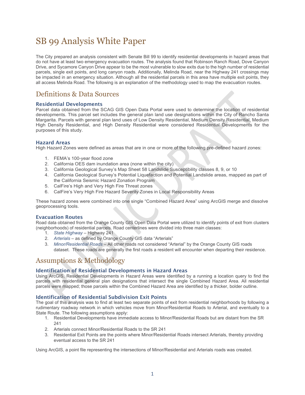# SB 99 Analysis White Paper

The City prepared an analysis consistent with Senate Bill 99 to identify residential developments in hazard areas that do not have at least two emergency evacuation routes. The analysis found that Robinson Ranch Road, Dove Canyon Drive, and Sycamore Canyon Drive appear to be the most vulnerable to slow exits due to the high number of residential parcels, single exit points, and long canyon roads. Additionally, Melinda Road, near the Highway 241 crossings may be impacted in an emergency situation. Although all the residential parcels in this area have multiple exit points, they all access Melinda Road. The following is an explanation of the methodology used to map the evacuation routes.

## Definitions & Data Sources

#### Residential Developments

Parcel data obtained from the SCAG GIS Open Data Portal were used to determine the location of residential developments. This parcel set includes the general plan land use designations within the City of Rancho Santa Margarita. Parcels with general plan land uses of Low Density Residential, Medium Density Residential, Medium High Density Residential, and High Density Residential were considered Residential Developments for the purposes of this study.

#### Hazard Areas

High Hazard Zones were defined as areas that are in one or more of the following pre-defined hazard zones:

- 1. FEMA's 100-year flood zone
- 2. California OES dam inundation area (none within the city)
- 3. California Geological Survey's Map Sheet 58 Landslide Susceptibility classes 8, 9, or 10
- 4. California Geological Survey's Potential Liquefaction and Potential Landslide areas, mapped as part of the California Seismic Hazard Zonation Program
- 5. CalFire's High and Very High Fire Threat zones
- 6. CalFire's Very High Fire Hazard Severity Zones in Local Responsibility Areas

These hazard zones were combined into one single "Combined Hazard Area" using ArcGIS merge and dissolve geoprocessing tools.

#### Evacuation Routes

Road data obtained from the Orange County GIS Open Data Portal were utilized to identify points of exit from clusters (neighborhoods) of residential parcels. Road centerlines were divided into three main classes:

- 1. *State Highway* Highway 241
- 2. *Arterials* as defined by Orange County GIS data "Arterials"
- 3. *Minor/Residential Roads* All other roads not considered "Arterial" by the Orange County GIS roads dataset. These roads are generally the first roads a resident will encounter when departing their residence.

### Assumptions & Methodology

#### Identification of Residential Developments in Hazard Areas

Using ArcGIS, Residential Developments in Hazard Areas were identified by a running a location query to find the parcels with residential general plan designations that intersect the single Combined Hazard Area. All residential parcels were mapped; those parcels within the Combined Hazard Area are identified by a thicker, bolder outline.

#### Identification of Residential Subdivision Exit Points

The goal of this analysis was to find at least two separate points of exit from residential neighborhoods by following a rudimentary roadway network in which vehicles move from Minor/Residential Roads to Arterial, and eventually to a State Route. The following assumptions apply:

- 1. Residential Developments have immediate access to Minor/Residential Roads but are distant from the SR  $241$
- 2. Arterials connect Minor/Residential Roads to the SR 241
- 3. Residential Exit Points are the points where Minor/Residential Roads intersect Arterials, thereby providing eventual access to the SR 241

Using ArcGIS, a point file representing the intersections of Minor/Residential and Arterials roads was created.